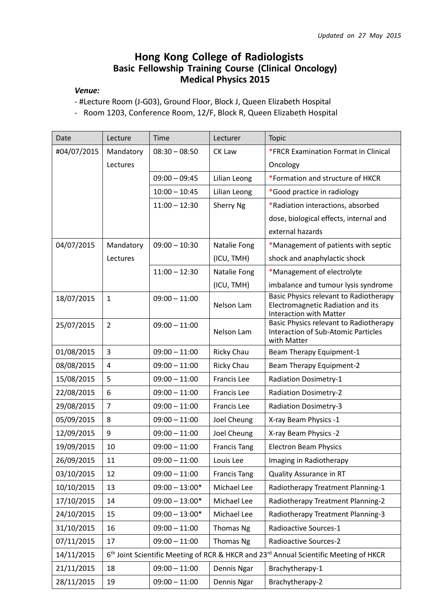## Hong Kong College of Radiologists Basic Fellowship Training Course (Clinical Oncology) Medical Physics 2015

## Venue:

- #Lecture Room (J-G03), Ground Floor, Block J, Queen Elizabeth Hospital

- Room 1203, Conference Room, 12/F, Block R, Queen Elizabeth Hospital

| Date        | Lecture                                                                                                       | <b>Time</b>      | Lecturer            | <b>Topic</b>                                                                                                  |  |
|-------------|---------------------------------------------------------------------------------------------------------------|------------------|---------------------|---------------------------------------------------------------------------------------------------------------|--|
| #04/07/2015 | Mandatory                                                                                                     | $08:30 - 08:50$  | CK Law              | *FRCR Examination Format in Clinical                                                                          |  |
|             | Lectures                                                                                                      |                  |                     | Oncology                                                                                                      |  |
|             |                                                                                                               | $09:00 - 09:45$  | Lilian Leong        | *Formation and structure of HKCR                                                                              |  |
|             |                                                                                                               | $10:00 - 10:45$  | Lilian Leong        | *Good practice in radiology                                                                                   |  |
|             |                                                                                                               | $11:00 - 12:30$  | Sherry Ng           | *Radiation interactions, absorbed                                                                             |  |
|             |                                                                                                               |                  |                     | dose, biological effects, internal and                                                                        |  |
|             |                                                                                                               |                  |                     | external hazards                                                                                              |  |
| 04/07/2015  | Mandatory                                                                                                     | $09:00 - 10:30$  | Natalie Fong        | *Management of patients with septic                                                                           |  |
|             | Lectures                                                                                                      |                  | (ICU, TMH)          | shock and anaphylactic shock                                                                                  |  |
|             |                                                                                                               | $11:00 - 12:30$  | Natalie Fong        | *Management of electrolyte                                                                                    |  |
|             |                                                                                                               |                  | (ICU, TMH)          | imbalance and tumour lysis syndrome                                                                           |  |
| 18/07/2015  | $\mathbf{1}$                                                                                                  | $09:00 - 11:00$  | Nelson Lam          | Basic Physics relevant to Radiotherapy<br>Electromagnetic Radiation and its<br><b>Interaction with Matter</b> |  |
| 25/07/2015  | $\overline{2}$                                                                                                | $09:00 - 11:00$  | Nelson Lam          | Basic Physics relevant to Radiotherapy<br><b>Interaction of Sub-Atomic Particles</b><br>with Matter           |  |
| 01/08/2015  | $\overline{3}$                                                                                                | $09:00 - 11:00$  | Ricky Chau          | Beam Therapy Equipment-1                                                                                      |  |
| 08/08/2015  | $\pmb{4}$                                                                                                     | $09:00 - 11:00$  | Ricky Chau          | Beam Therapy Equipment-2                                                                                      |  |
| 15/08/2015  | 5                                                                                                             | $09:00 - 11:00$  | <b>Francis Lee</b>  | <b>Radiation Dosimetry-1</b>                                                                                  |  |
| 22/08/2015  | 6                                                                                                             | $09:00 - 11:00$  | <b>Francis Lee</b>  | <b>Radiation Dosimetry-2</b>                                                                                  |  |
| 29/08/2015  | $\overline{7}$                                                                                                | $09:00 - 11:00$  | <b>Francis Lee</b>  | <b>Radiation Dosimetry-3</b>                                                                                  |  |
| 05/09/2015  | 8                                                                                                             | $09:00 - 11:00$  | Joel Cheung         | X-ray Beam Physics -1                                                                                         |  |
| 12/09/2015  | 9                                                                                                             | $09:00 - 11:00$  | Joel Cheung         | X-ray Beam Physics -2                                                                                         |  |
| 19/09/2015  | 10                                                                                                            | $09:00 - 11:00$  | <b>Francis Tang</b> | <b>Electron Beam Physics</b>                                                                                  |  |
| 26/09/2015  | 11                                                                                                            | $09:00 - 11:00$  | Louis Lee           | Imaging in Radiotherapy                                                                                       |  |
| 03/10/2015  | 12                                                                                                            | $09:00 - 11:00$  | <b>Francis Tang</b> | Quality Assurance in RT                                                                                       |  |
| 10/10/2015  | 13                                                                                                            | $09:00 - 13:00*$ | Michael Lee         | Radiotherapy Treatment Planning-1                                                                             |  |
| 17/10/2015  | 14                                                                                                            | $09:00 - 13:00*$ | Michael Lee         | Radiotherapy Treatment Planning-2                                                                             |  |
| 24/10/2015  | 15                                                                                                            | $09:00 - 13:00*$ | Michael Lee         | Radiotherapy Treatment Planning-3                                                                             |  |
| 31/10/2015  | 16                                                                                                            | $09:00 - 11:00$  | Thomas Ng           | Radioactive Sources-1                                                                                         |  |
| 07/11/2015  | 17                                                                                                            | $09:00 - 11:00$  | Thomas Ng           | <b>Radioactive Sources-2</b>                                                                                  |  |
| 14/11/2015  | 6 <sup>th</sup> Joint Scientific Meeting of RCR & HKCR and 23 <sup>rd</sup> Annual Scientific Meeting of HKCR |                  |                     |                                                                                                               |  |
| 21/11/2015  | 18                                                                                                            | $09:00 - 11:00$  | Dennis Ngar         | Brachytherapy-1                                                                                               |  |
| 28/11/2015  | 19                                                                                                            | $09:00 - 11:00$  | Dennis Ngar         | Brachytherapy-2                                                                                               |  |